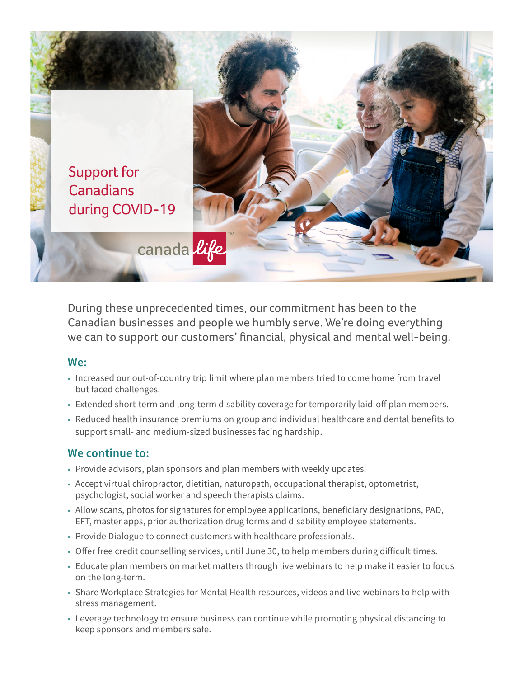

During these unprecedented times, our commitment has been to the Canadian businesses and people we humbly serve. We're doing everything we can to support our customers' financial, physical and mental well-being.

## **We:**

- Increased our out-of-country trip limit where plan members tried to come home from travel but faced challenges.
- Extended short-term and long-term disability coverage for temporarily laid-off plan members.
- Reduced health insurance premiums on group and individual healthcare and dental benefits to support small- and medium-sized businesses facing hardship.

## **We continue to:**

- Provide advisors, plan sponsors and plan members with weekly updates.
- Accept virtual chiropractor, dietitian, naturopath, occupational therapist, optometrist, psychologist, social worker and speech therapists claims.
- Allow scans, photos for signatures for employee applications, beneficiary designations, PAD, EFT, master apps, prior authorization drug forms and disability employee statements.
- Provide Dialogue to connect customers with healthcare professionals.
- Offer free credit counselling services, until June 30, to help members during difficult times.
- Educate plan members on market matters through live webinars to help make it easier to focus on the long-term.
- Share Workplace Strategies for Mental Health resources, videos and live webinars to help with stress management.
- Leverage technology to ensure business can continue while promoting physical distancing to keep sponsors and members safe.